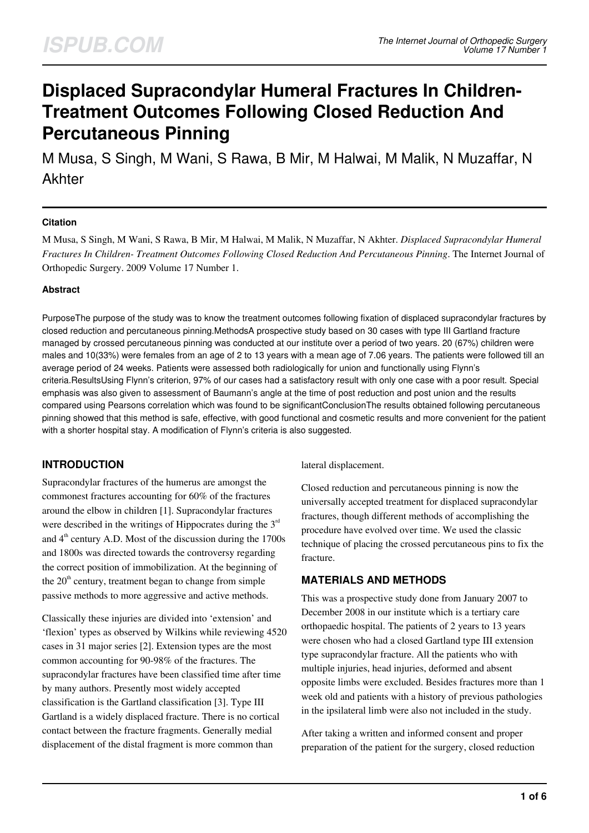# **Displaced Supracondylar Humeral Fractures In Children-Treatment Outcomes Following Closed Reduction And Percutaneous Pinning**

M Musa, S Singh, M Wani, S Rawa, B Mir, M Halwai, M Malik, N Muzaffar, N Akhter

# **Citation**

M Musa, S Singh, M Wani, S Rawa, B Mir, M Halwai, M Malik, N Muzaffar, N Akhter. *Displaced Supracondylar Humeral Fractures In Children- Treatment Outcomes Following Closed Reduction And Percutaneous Pinning*. The Internet Journal of Orthopedic Surgery. 2009 Volume 17 Number 1.

## **Abstract**

PurposeThe purpose of the study was to know the treatment outcomes following fixation of displaced supracondylar fractures by closed reduction and percutaneous pinning.MethodsA prospective study based on 30 cases with type III Gartland fracture managed by crossed percutaneous pinning was conducted at our institute over a period of two years. 20 (67%) children were males and 10(33%) were females from an age of 2 to 13 years with a mean age of 7.06 years. The patients were followed till an average period of 24 weeks. Patients were assessed both radiologically for union and functionally using Flynn's criteria.ResultsUsing Flynn's criterion, 97% of our cases had a satisfactory result with only one case with a poor result. Special emphasis was also given to assessment of Baumann's angle at the time of post reduction and post union and the results compared using Pearsons correlation which was found to be significantConclusionThe results obtained following percutaneous pinning showed that this method is safe, effective, with good functional and cosmetic results and more convenient for the patient with a shorter hospital stay. A modification of Flynn's criteria is also suggested.

# **INTRODUCTION**

Supracondylar fractures of the humerus are amongst the commonest fractures accounting for 60% of the fractures around the elbow in children [1]. Supracondylar fractures were described in the writings of Hippocrates during the  $3<sup>rd</sup>$ and  $4<sup>th</sup>$  century A.D. Most of the discussion during the 1700s and 1800s was directed towards the controversy regarding the correct position of immobilization. At the beginning of the  $20<sup>th</sup>$  century, treatment began to change from simple passive methods to more aggressive and active methods.

Classically these injuries are divided into 'extension' and 'flexion' types as observed by Wilkins while reviewing 4520 cases in 31 major series [2]. Extension types are the most common accounting for 90-98% of the fractures. The supracondylar fractures have been classified time after time by many authors. Presently most widely accepted classification is the Gartland classification [3]. Type III Gartland is a widely displaced fracture. There is no cortical contact between the fracture fragments. Generally medial displacement of the distal fragment is more common than

lateral displacement.

Closed reduction and percutaneous pinning is now the universally accepted treatment for displaced supracondylar fractures, though different methods of accomplishing the procedure have evolved over time. We used the classic technique of placing the crossed percutaneous pins to fix the fracture.

# **MATERIALS AND METHODS**

This was a prospective study done from January 2007 to December 2008 in our institute which is a tertiary care orthopaedic hospital. The patients of 2 years to 13 years were chosen who had a closed Gartland type III extension type supracondylar fracture. All the patients who with multiple injuries, head injuries, deformed and absent opposite limbs were excluded. Besides fractures more than 1 week old and patients with a history of previous pathologies in the ipsilateral limb were also not included in the study.

After taking a written and informed consent and proper preparation of the patient for the surgery, closed reduction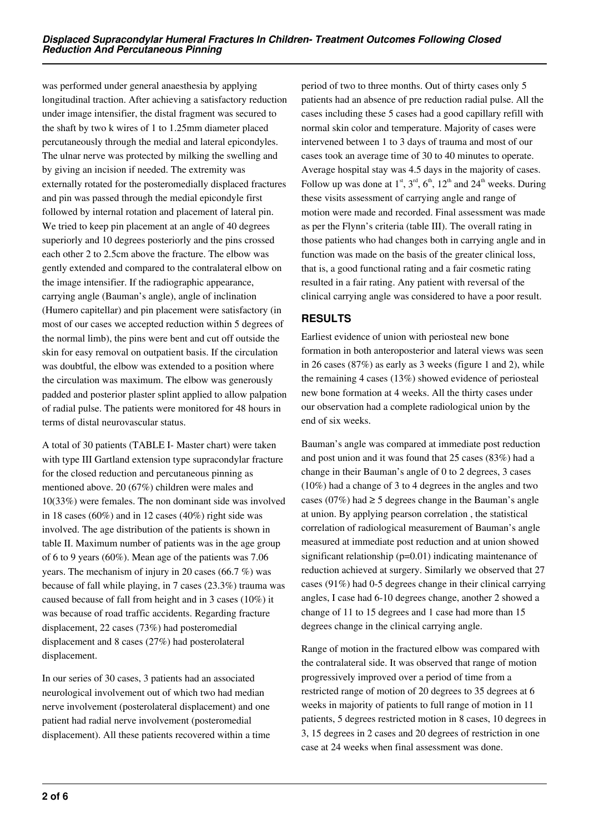was performed under general anaesthesia by applying longitudinal traction. After achieving a satisfactory reduction under image intensifier, the distal fragment was secured to the shaft by two k wires of 1 to 1.25mm diameter placed percutaneously through the medial and lateral epicondyles. The ulnar nerve was protected by milking the swelling and by giving an incision if needed. The extremity was externally rotated for the posteromedially displaced fractures and pin was passed through the medial epicondyle first followed by internal rotation and placement of lateral pin. We tried to keep pin placement at an angle of 40 degrees superiorly and 10 degrees posteriorly and the pins crossed each other 2 to 2.5cm above the fracture. The elbow was gently extended and compared to the contralateral elbow on the image intensifier. If the radiographic appearance, carrying angle (Bauman's angle), angle of inclination (Humero capitellar) and pin placement were satisfactory (in most of our cases we accepted reduction within 5 degrees of the normal limb), the pins were bent and cut off outside the skin for easy removal on outpatient basis. If the circulation was doubtful, the elbow was extended to a position where the circulation was maximum. The elbow was generously padded and posterior plaster splint applied to allow palpation of radial pulse. The patients were monitored for 48 hours in terms of distal neurovascular status.

A total of 30 patients (TABLE I- Master chart) were taken with type III Gartland extension type supracondylar fracture for the closed reduction and percutaneous pinning as mentioned above. 20 (67%) children were males and 10(33%) were females. The non dominant side was involved in 18 cases (60%) and in 12 cases (40%) right side was involved. The age distribution of the patients is shown in table II. Maximum number of patients was in the age group of 6 to 9 years (60%). Mean age of the patients was 7.06 years. The mechanism of injury in 20 cases (66.7 %) was because of fall while playing, in 7 cases (23.3%) trauma was caused because of fall from height and in 3 cases (10%) it was because of road traffic accidents. Regarding fracture displacement, 22 cases (73%) had posteromedial displacement and 8 cases (27%) had posterolateral displacement.

In our series of 30 cases, 3 patients had an associated neurological involvement out of which two had median nerve involvement (posterolateral displacement) and one patient had radial nerve involvement (posteromedial displacement). All these patients recovered within a time period of two to three months. Out of thirty cases only 5 patients had an absence of pre reduction radial pulse. All the cases including these 5 cases had a good capillary refill with normal skin color and temperature. Majority of cases were intervened between 1 to 3 days of trauma and most of our cases took an average time of 30 to 40 minutes to operate. Average hospital stay was 4.5 days in the majority of cases. Follow up was done at  $1<sup>st</sup>$ ,  $3<sup>rd</sup>$ ,  $6<sup>th</sup>$ ,  $12<sup>th</sup>$  and  $24<sup>th</sup>$  weeks. During these visits assessment of carrying angle and range of motion were made and recorded. Final assessment was made as per the Flynn's criteria (table III). The overall rating in those patients who had changes both in carrying angle and in function was made on the basis of the greater clinical loss, that is, a good functional rating and a fair cosmetic rating resulted in a fair rating. Any patient with reversal of the clinical carrying angle was considered to have a poor result.

# **RESULTS**

Earliest evidence of union with periosteal new bone formation in both anteroposterior and lateral views was seen in 26 cases (87%) as early as 3 weeks (figure 1 and 2), while the remaining 4 cases (13%) showed evidence of periosteal new bone formation at 4 weeks. All the thirty cases under our observation had a complete radiological union by the end of six weeks.

Bauman's angle was compared at immediate post reduction and post union and it was found that 25 cases (83%) had a change in their Bauman's angle of 0 to 2 degrees, 3 cases (10%) had a change of 3 to 4 degrees in the angles and two cases (07%) had  $\geq$  5 degrees change in the Bauman's angle at union. By applying pearson correlation , the statistical correlation of radiological measurement of Bauman's angle measured at immediate post reduction and at union showed significant relationship (p=0.01) indicating maintenance of reduction achieved at surgery. Similarly we observed that 27 cases (91%) had 0-5 degrees change in their clinical carrying angles, I case had 6-10 degrees change, another 2 showed a change of 11 to 15 degrees and 1 case had more than 15 degrees change in the clinical carrying angle.

Range of motion in the fractured elbow was compared with the contralateral side. It was observed that range of motion progressively improved over a period of time from a restricted range of motion of 20 degrees to 35 degrees at 6 weeks in majority of patients to full range of motion in 11 patients, 5 degrees restricted motion in 8 cases, 10 degrees in 3, 15 degrees in 2 cases and 20 degrees of restriction in one case at 24 weeks when final assessment was done.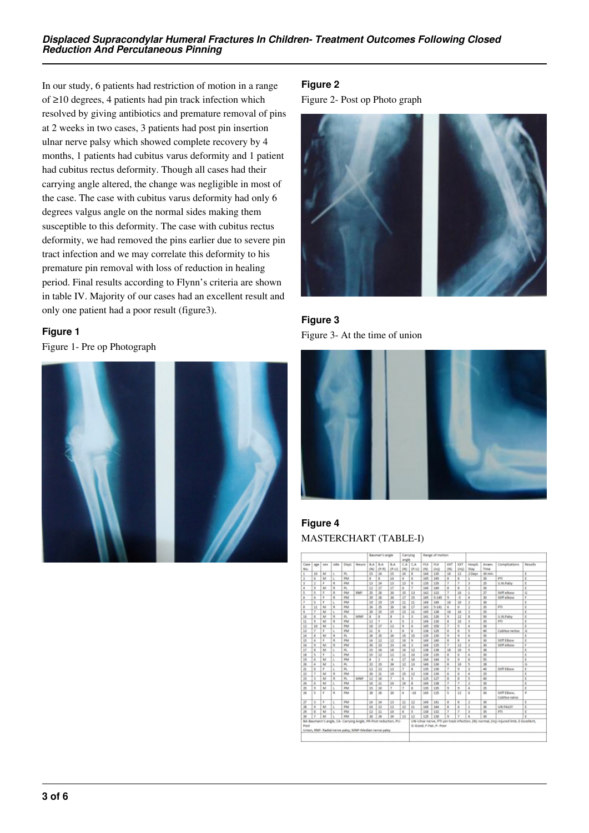In our study, 6 patients had restriction of motion in a range of ≥10 degrees, 4 patients had pin track infection which resolved by giving antibiotics and premature removal of pins at 2 weeks in two cases, 3 patients had post pin insertion ulnar nerve palsy which showed complete recovery by 4 months, 1 patients had cubitus varus deformity and 1 patient had cubitus rectus deformity. Though all cases had their carrying angle altered, the change was negligible in most of the case. The case with cubitus varus deformity had only 6 degrees valgus angle on the normal sides making them susceptible to this deformity. The case with cubitus rectus deformity, we had removed the pins earlier due to severe pin tract infection and we may correlate this deformity to his premature pin removal with loss of reduction in healing period. Final results according to Flynn's criteria are shown in table IV. Majority of our cases had an excellent result and only one patient had a poor result (figure3).

# **Figure 1**

Figure 1- Pre op Photograph



# **Figure 2**

Figure 2- Post op Photo graph



**Figure 3** Figure 3- At the time of union



**Figure 4** MASTERCHART (TABLE-I)

| Сала<br>age<br>No.           |      |      |                |       |                         | Bauman's angle  |                         | Carrying<br>angle |                |     | Range of motion |                         |      |                |                         |                               |         |
|------------------------------|------|------|----------------|-------|-------------------------|-----------------|-------------------------|-------------------|----------------|-----|-----------------|-------------------------|------|----------------|-------------------------|-------------------------------|---------|
|                              | 58.6 | tide | Disal.         | Neuro | R.A.                    | R.A             | R.A.                    | CA                | CA             | FLX | FLX             | EXT                     | EXT  | Hospit.        | Anset                   | Complications                 | Requits |
|                              |      |      |                |       | (M)                     | (P,R)           | (0.11)                  | (IV)              | [1,1]          | (N) | 0 <sub>0</sub>  | (N)                     | Onti | Stay           | Time                    |                               |         |
| 10                           | M    | t.   | PL.            |       | 15                      | 36              | 15                      | 30                | ı              | 148 | 135             | 10                      | 12   | 2 Days         | 30 min                  |                               | F       |
| 6<br>ı                       | M    | t.   | PM             |       | ٠                       | ۵               | 10                      | 4                 | đ.             | 145 | 145             | ٠                       | ۵    | 1              | 30                      | PTI                           | ε       |
| $\overline{z}$<br>3          | r    | ĸ    | <b>DM</b>      |       | 13                      | 14              | 13                      | 13                | ,              | 135 | 135             | <b>T</b>                | T    | 3              | 25                      | U.N.Palsy                     | ŧ       |
| 9<br>٠                       | M    | k    | PL.            |       | 12                      | 17              | 17                      | 6                 | 7              | 148 | 140             | 8                       | 8    | 2              | 30                      |                               | Ë       |
| s<br>s                       | E    | R    | PM             | RNP   | z                       | 20              | 30                      | 15                | 13             | 142 | 132             | 7                       | 10   | 1              | $\overline{17}$         | Stiff elbow                   | G       |
| ő<br>B                       | п    | R    | PM             |       | 29                      | 26              | 26                      | 17                | 15             | 145 | $5 - 145$       | $\overline{9}$          | -5   | ٠              | 30                      | Stiff elbow                   | ٠       |
| 5                            | p    | L    | PM             |       | 19                      | 15              | 19                      | 11                | 11             | 148 | 140             | 10                      | 10   | ż              | 36                      |                               | E       |
| 11<br>٠                      | M    | ٠    | PM             |       | 24                      | 25              | 36                      | 16                | 17             | 143 | $5 - 141$       | 6                       | 6    | ö              | 35                      | PTI                           | F       |
| 7<br>s                       | M    | L    | PM             |       | 20                      | 15              | 15                      | 13                | 11             | 145 | 138             | 10                      | 10   | 2              | $\overline{\mathbf{z}}$ |                               | E       |
| 8<br>38                      | M    | R.   | PL.            | MNP   | $\overline{\mathbf{a}}$ | в               | $\overline{\mathbf{a}}$ | s                 | 3              | 141 | 130             | 9                       | 12   | 8              | 50                      | <b>U.N.Palsy</b>              | E       |
| 9<br>11                      | M    | ĸ    | PM             |       | 12                      | y               | 6                       | s                 | $\overline{2}$ | 148 | 130             | $\ast$                  | 10   | š              | 35                      | PTI                           | ε       |
| 12<br>10                     | M    | t.   | PM             |       | 18                      | 17              | 12                      | $\overline{9}$    | 6              | 145 | 158             | $\overline{ }$          | s    | ă              | 30                      |                               | E       |
| 13<br>$\overline{z}$         | Е    | L    | PM             |       | 11                      | 6               | э                       | 6                 | ٥              | 130 | 125             | 6                       | 6    | 5              | 40                      | Cubitus rectus                | G       |
| 8<br>34                      | M    | ٠    | Þ.             |       | 24                      | 25              | 24                      | 15                | 15             | 135 | 135             | 9                       | 9    | 6              | 35                      |                               | ŧ       |
| 15<br>۵                      | F    | k    | PM             |       | 14                      | 12              | 12                      | 10                | ٠              | 148 | 140             | 8                       | 8    | ۵              | 30                      | Stiff Elbow                   | Ë       |
| 56<br>9                      | м    | ۵    | PM             |       | 26                      | 21              | $_{22}$                 | 34                | $\mathbf{r}$   | 140 | 125             | 7                       | 12   | 2              | 30                      | Stiff elbow                   | c       |
| 17<br>$\overline{8}$         | M    | L    | PL.            |       | 15                      | 16              | 18                      | 10                | 12             | 138 | 138             | 10                      | 10   | 5              | 35                      |                               | г       |
| 5<br>18                      | F.   | L    | PM             |       | 15                      | 12              | 12                      | 11                | 10             | 130 | 135             | 8                       | 6    | ۵              | 30                      |                               | E       |
| 6<br>29                      | M    | x    | PM             |       | ż                       | ż               | $\overline{4}$          | 17                | 16             | 144 | 144             | $\overline{Q}$          | ū    | Ř              | \$5                     |                               | F       |
| 28<br>×                      | M    | L    | PL.            |       | 22                      | 23              | 34                      | 12                | 11             | 140 | 130             | n                       | 10   | 5              | 28                      |                               | G       |
| $\overline{\mathbf{z}}$<br>6 | r    | L    | PL.            |       | 12                      | 12              | 12                      | $\overline{r}$    | s              | 135 | 130             | y                       | 9    | 3              | 40                      | <b>Stiff Elbow</b>            | ŧ       |
| 22<br>$\overline{r}$         | м    | ٠    | PM             |       | 26                      | 21              | 19                      | 15                | 12             | 138 | 130             | 6                       | 6    | ۵              | 25                      |                               | ε       |
| 39<br>R                      | M    | ٠    | $\overline{p}$ | MNP   | 12                      | 16              | 7                       | 6                 | 5              | 125 | 127             | Ř                       | ġ    | s              | 40                      |                               | Ŧ       |
| 34<br>6                      | M    | L    | PM             |       | 16                      | 11              | 10                      | 10                | п              | 148 | 138             | 7                       | 7    | 2              | 30                      |                               | t       |
| 9<br>25                      | M    | ι    | <b>DM</b>      |       | 15                      | 10              | ż                       | T                 | s              | 135 | 135             | 9                       | 9    | ۵              | 25                      |                               | ŧ       |
| 36<br>s                      | F    | k    | PM             |       | 28                      | 36              | 36                      | ٠                 | $-16$          | 145 | 125             | 5                       | 12   | 6              | 36                      | Stiff Elbow.<br>Cubitus varus | ø       |
| 27<br>S.                     | F    | t.   | PM             |       | 14                      | 14              | 13                      | 11                | 12             | 148 | 141             | $\overline{\mathbf{g}}$ | ġ    | $\overline{2}$ | 30                      |                               | £       |
| 38<br>$\overline{9}$         | M    | t.   | PM             |       | 16                      | $\overline{12}$ | 12                      | 12                | Ħ              | 348 | 144             | $\overline{\mathbf{x}}$ | 6    | 1              | 36                      | <b>UN PAISY</b>               | c       |
| 25<br>ō                      | M    | L    | PM             |       | 12                      | 11              | 10                      | 6                 | 5              | 130 | 132             | T                       | T    | 3              | 15                      | PTI                           | t       |
| 30<br>z,                     | M    | ι    | <b>DM</b>      |       | 26                      | 24              | 24                      | 13                | 12             | 125 | 130             | 9                       | Ŧ    | ۵              | 30                      |                               | ø       |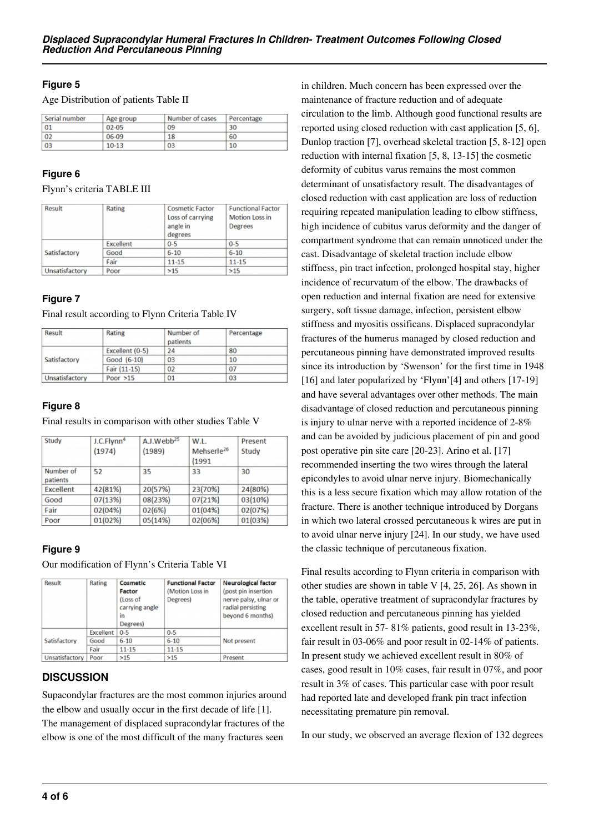# **Figure 5**

Age Distribution of patients Table II

| Serial number | Age group | Number of cases | Percentage |
|---------------|-----------|-----------------|------------|
| 01            | 02-05     | 09              | 30         |
| 02            | 06-09     | 18              | 60         |
| 03            | $10 - 13$ | 03              | 10         |

## **Figure 6**

Flynn's criteria TABLE III

| Result         | Rating           | <b>Cosmetic Factor</b><br>Loss of carrying<br>angle in<br>degrees | <b>Functional Factor</b><br><b>Motion Loss in</b><br><b>Degrees</b> |  |
|----------------|------------------|-------------------------------------------------------------------|---------------------------------------------------------------------|--|
|                | <b>Excellent</b> | $0 - 5$                                                           | $0 - 5$                                                             |  |
| Satisfactory   | Good             | $6 - 10$                                                          | $6 - 10$                                                            |  |
|                | Fair             | $11 - 15$                                                         | 11-15                                                               |  |
| Unsatisfactory | Poor             | >15                                                               | >15                                                                 |  |

## **Figure 7**

Final result according to Flynn Criteria Table IV

| Result         | Rating          | Number of<br>patients | Percentage |
|----------------|-----------------|-----------------------|------------|
|                | Excellent (0-5) | 24                    | 80         |
| Satisfactory   | Good (6-10)     | 03                    | 10         |
|                | Fair (11-15)    | 02                    | 07         |
| Unsatisfactory | Poor $>15$      | 01                    | 03         |

# **Figure 8**

Final results in comparison with other studies Table V

| Study            | J.C.Flynn <sup>4</sup> | A.J.Webb <sup>25</sup> | W.L.                   | Present |
|------------------|------------------------|------------------------|------------------------|---------|
|                  | (1974)                 | (1989)                 | Mehserle <sup>26</sup> | Study   |
|                  |                        |                        | (1991                  |         |
| Number of        | 52                     | 35                     | 33                     | 30      |
| patients         |                        |                        |                        |         |
| <b>Excellent</b> | 42(81%)                | 20(57%)                | 23(70%)                | 24(80%) |
| Good             | 07(13%)                | 08(23%)                | 07(21%)                | 03(10%) |
| Fair             | 02(04%)                | 02(6%)                 | 01(04%)                | 02(07%) |
| Poor             | 01(02%)                | 05(14%)                | 02(06%)                | 01(03%) |

# **Figure 9**

Our modification of Flynn's Criteria Table VI

| Result         | Rating           | Cosmetic<br>Factor<br>(Loss of<br>carrying angle<br>in<br>Degrees) | <b>Functional Factor</b><br>(Motion Loss in<br>Degrees) | <b>Neurological factor</b><br>(post pin insertion<br>nerve palsy, ulnar or<br>radial persisting<br>beyond 6 months) |  |
|----------------|------------------|--------------------------------------------------------------------|---------------------------------------------------------|---------------------------------------------------------------------------------------------------------------------|--|
|                | <b>Excellent</b> | $0 - 5$                                                            | $0 - 5$                                                 |                                                                                                                     |  |
| Satisfactory   | Good             | $6 - 10$                                                           | $6 - 10$                                                | Not present                                                                                                         |  |
|                | Fair             | $11 - 15$                                                          | $11 - 15$                                               |                                                                                                                     |  |
| Unsatisfactory | Poor             | >15                                                                | >15                                                     | Present                                                                                                             |  |

# **DISCUSSION**

Supacondylar fractures are the most common injuries around the elbow and usually occur in the first decade of life [1]. The management of displaced supracondylar fractures of the elbow is one of the most difficult of the many fractures seen

in children. Much concern has been expressed over the maintenance of fracture reduction and of adequate circulation to the limb. Although good functional results are reported using closed reduction with cast application [5, 6], Dunlop traction [7], overhead skeletal traction [5, 8-12] open reduction with internal fixation [5, 8, 13-15] the cosmetic deformity of cubitus varus remains the most common determinant of unsatisfactory result. The disadvantages of closed reduction with cast application are loss of reduction requiring repeated manipulation leading to elbow stiffness, high incidence of cubitus varus deformity and the danger of compartment syndrome that can remain unnoticed under the cast. Disadvantage of skeletal traction include elbow stiffness, pin tract infection, prolonged hospital stay, higher incidence of recurvatum of the elbow. The drawbacks of open reduction and internal fixation are need for extensive surgery, soft tissue damage, infection, persistent elbow stiffness and myositis ossificans. Displaced supracondylar fractures of the humerus managed by closed reduction and percutaneous pinning have demonstrated improved results since its introduction by 'Swenson' for the first time in 1948 [16] and later popularized by 'Flynn'[4] and others [17-19] and have several advantages over other methods. The main disadvantage of closed reduction and percutaneous pinning is injury to ulnar nerve with a reported incidence of 2-8% and can be avoided by judicious placement of pin and good post operative pin site care [20-23]. Arino et al. [17] recommended inserting the two wires through the lateral epicondyles to avoid ulnar nerve injury. Biomechanically this is a less secure fixation which may allow rotation of the fracture. There is another technique introduced by Dorgans in which two lateral crossed percutaneous k wires are put in to avoid ulnar nerve injury [24]. In our study, we have used the classic technique of percutaneous fixation.

Final results according to Flynn criteria in comparison with other studies are shown in table V [4, 25, 26]. As shown in the table, operative treatment of supracondylar fractures by closed reduction and percutaneous pinning has yielded excellent result in 57- 81% patients, good result in 13-23%, fair result in 03-06% and poor result in 02-14% of patients. In present study we achieved excellent result in 80% of cases, good result in 10% cases, fair result in 07%, and poor result in 3% of cases. This particular case with poor result had reported late and developed frank pin tract infection necessitating premature pin removal.

In our study, we observed an average flexion of 132 degrees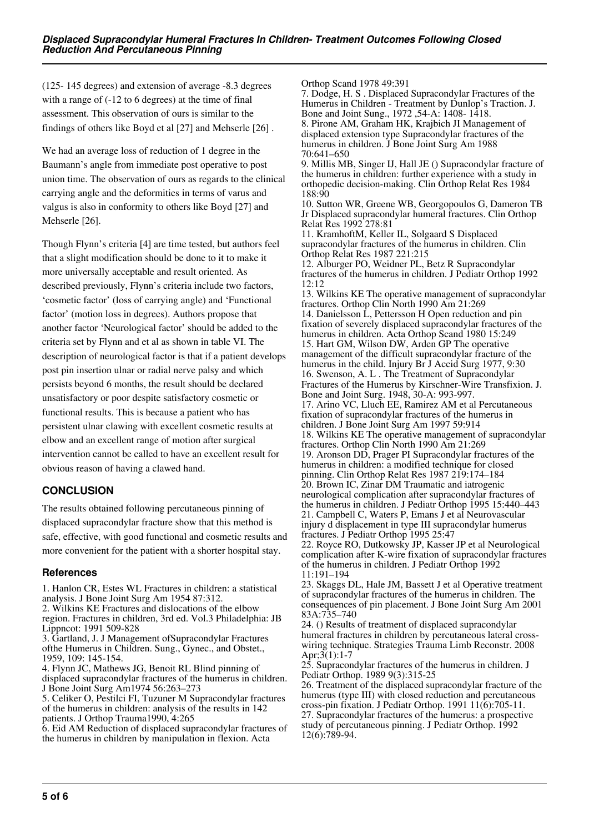(125- 145 degrees) and extension of average -8.3 degrees with a range of (-12 to 6 degrees) at the time of final assessment. This observation of ours is similar to the findings of others like Boyd et al [27] and Mehserle [26] .

We had an average loss of reduction of 1 degree in the Baumann's angle from immediate post operative to post union time. The observation of ours as regards to the clinical carrying angle and the deformities in terms of varus and valgus is also in conformity to others like Boyd [27] and Mehserle [26].

Though Flynn's criteria [4] are time tested, but authors feel that a slight modification should be done to it to make it more universally acceptable and result oriented. As described previously, Flynn's criteria include two factors, 'cosmetic factor' (loss of carrying angle) and 'Functional factor' (motion loss in degrees). Authors propose that another factor 'Neurological factor' should be added to the criteria set by Flynn and et al as shown in table VI. The description of neurological factor is that if a patient develops post pin insertion ulnar or radial nerve palsy and which persists beyond 6 months, the result should be declared unsatisfactory or poor despite satisfactory cosmetic or functional results. This is because a patient who has persistent ulnar clawing with excellent cosmetic results at elbow and an excellent range of motion after surgical intervention cannot be called to have an excellent result for obvious reason of having a clawed hand.

# **CONCLUSION**

The results obtained following percutaneous pinning of displaced supracondylar fracture show that this method is safe, effective, with good functional and cosmetic results and more convenient for the patient with a shorter hospital stay.

# **References**

1. Hanlon CR, Estes WL Fractures in children: a statistical analysis. J Bone Joint Surg Am 1954 87:312.

2. Wilkins KE Fractures and dislocations of the elbow region. Fractures in children, 3rd ed. Vol.3 Philadelphia: JB

Lippncot: 1991 509-828 3. Gartland, J. J Management ofSupracondylar Fractures

ofthe Humerus in Children. Sung., Gynec., and Obstet., 1959, 109: 145-154.

4. Flynn JC, Mathews JG, Benoit RL Blind pinning of displaced supracondylar fractures of the humerus in children. J Bone Joint Surg Am1974 56:263–273

5. Celiker O, Pestilci FI, Tuzuner M Supracondylar fractures of the humerus in children: analysis of the results in 142 patients. J Orthop Trauma1990, 4:265

6. Eid AM Reduction of displaced supracondylar fractures of the humerus in children by manipulation in flexion. Acta

Orthop Scand 1978 49:391 7. Dodge, H. S . Displaced Supracondylar Fractures of the Humerus in Children - Treatment by Dunlop's Traction. J. Bone and Joint Sung., 1972 ,54-A: 1408- 1418. 8. Pirone AM, Graham HK, Krajbich JI Management of displaced extension type Supracondylar fractures of the humerus in children. J Bone Joint Surg Am 1988 70:641–650 9. Millis MB, Singer IJ, Hall JE () Supracondylar fracture of the humerus in children: further experience with a study in orthopedic decision-making. Clin Orthop Relat Res 1984 188:90 10. Sutton WR, Greene WB, Georgopoulos G, Dameron TB Jr Displaced supracondylar humeral fractures. Clin Orthop Relat Res 1992 278:81 11. KramhoftM, Keller IL, Solgaard S Displaced supracondylar fractures of the humerus in children. Clin Orthop Relat Res 1987 221:215 12. Alburger PO, Weidner PL, Betz R Supracondylar fractures of the humerus in children. J Pediatr Orthop 1992 12:12 13. Wilkins KE The operative management of supracondylar fractures. Orthop Clin North 1990 Am 21:269 14. Danielsson L, Pettersson H Open reduction and pin fixation of severely displaced supracondylar fractures of the humerus in children. Acta Orthop Scand 1980 15:249 15. Hart GM, Wilson DW, Arden GP The operative management of the difficult supracondylar fracture of the humerus in the child. Injury Br J Accid Surg 1977, 9:30 16. Swenson, A. L . The Treatment of Supracondylar Fractures of the Humerus by Kirschner-Wire Transfixion. J. Bone and Joint Surg. 1948, 30-A: 993-997. 17. Arino VC, Lluch EE, Ramirez AM et al Percutaneous fixation of supracondylar fractures of the humerus in children. J Bone Joint Surg Am 1997 59:914 18. Wilkins KE The operative management of supracondylar fractures. Orthop Clin North 1990 Am 21:269 19. Aronson DD, Prager PI Supracondylar fractures of the humerus in children: a modified technique for closed pinning. Clin Orthop Relat Res 1987 219:174–184 20. Brown IC, Zinar DM Traumatic and iatrogenic neurological complication after supracondylar fractures of the humerus in children. J Pediatr Orthop 1995 15:440–443 21. Campbell C, Waters P, Emans J et al Neurovascular injury d displacement in type III supracondylar humerus fractures. J Pediatr Orthop 1995 25:47 22. Royce RO, Dutkowsky JP, Kasser JP et al Neurological complication after K-wire fixation of supracondylar fractures of the humerus in children. J Pediatr Orthop 1992 11:191–194

23. Skaggs DL, Hale JM, Bassett J et al Operative treatment of supracondylar fractures of the humerus in children. The consequences of pin placement. J Bone Joint Surg Am 2001 83A:735–740

24. () Results of treatment of displaced supracondylar humeral fractures in children by percutaneous lateral crosswiring technique. Strategies Trauma Limb Reconstr. 2008 Apr;3(1):1-7

25. Supracondylar fractures of the humerus in children. J Pediatr Orthop. 1989 9(3):315-25

26. Treatment of the displaced supracondylar fracture of the humerus (type III) with closed reduction and percutaneous cross-pin fixation. J Pediatr Orthop. 1991 11(6):705-11. 27. Supracondylar fractures of the humerus: a prospective study of percutaneous pinning. J Pediatr Orthop. 1992 12(6):789-94.